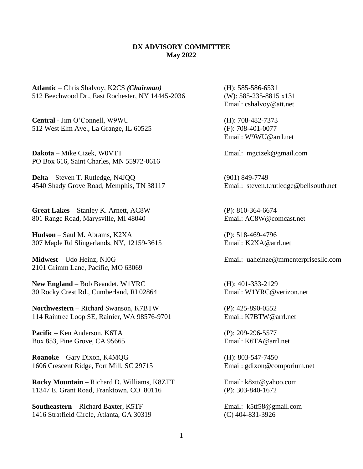## **DX ADVISORY COMMITTEE May 2022**

**Atlantic** – Chris Shalvoy, K2CS *(Chairman)* (H): 585-586-6531 512 Beechwood Dr., East Rochester, NY 14445-2036 (W): 585-235-8815 x131

**Central** - Jim O'Connell, W9WU (H): 708-482-7373 512 West Elm Ave., La Grange, IL 60525 (F): 708-401-0077

**Dakota** – Mike Cizek, W0VTT Email: [mgcizek@gmail.com](mailto:mgcizek@gmail.com) PO Box 616, Saint Charles, MN 55972-0616

**Delta** – Steven T. Rutledge, N4JQQ (901) 849-7749 4540 Shady Grove Road, Memphis, TN 38117 Email: [steven.t.rutledge@bellsouth.net](mailto:steven.t.rutledge@bellsouth.net)

**Great Lakes** – Stanley K. Arnett, AC8W (P): 810-364-6674 801 Range Road, Marysville, MI 48040 Email: AC8W@comcast.net

**Hudson** – Saul M. Abrams, K2XA (P): 518-469-4796 307 Maple Rd Slingerlands, NY, 12159-3615 Email: K2XA@arrl.net

2101 Grimm Lane, Pacific, MO 63069

**New England** – Bob Beaudet, W1YRC (H): 401-333-2129 30 Rocky Crest Rd., Cumberland, RI 02864 Email: W1YRC@verizon.net

**Northwestern** – Richard Swanson, K7BTW (P): 425-890-0552 114 Raintree Loop SE, Rainier, WA 98576-9701 Email: K7BTW@arrl.net

**Pacific** – Ken Anderson, K6TA (P): 209-296-5577 Box 853. Pine Grove. CA 95665 Email: K6TA@arrl.net

**Roanoke** – Gary Dixon, K4MQG (H): 803-547-7450 1606 Crescent Ridge, Fort Mill, SC 29715 Email: gdixon@comporium.net

**Rocky Mountain** – Richard D. Williams, K8ZTT Email: k8ztt@yahoo.com 11347 E. Grant Road, Franktown, CO 80116 (P): 303-840-1672

**Southeastern** – Richard Baxter, K5TF Email: [k5tf58@gmail.com](mailto:k5tf58@gmail.com) 1416 Stratfield Circle, Atlanta, GA 30319 (C) 404-831-3926

Email: cshalvoy@att.net

Email: W9WU@arrl.net

**Midwest** – Udo Heinz, NI0G **Email:** uaheinze@mmenterprisesllc.com